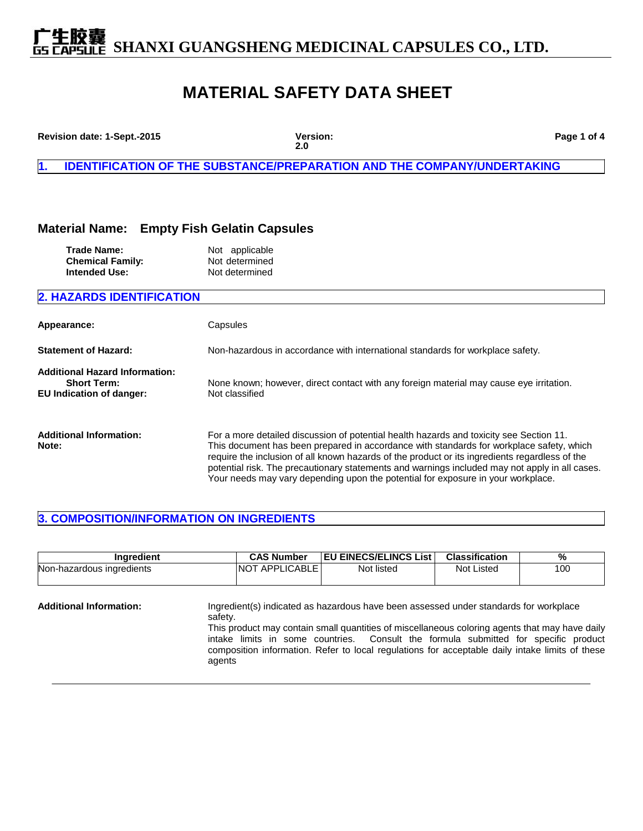**下生股囊**<br>capsule SHANXI GUANGSHENG MEDICINAL CAPSULES CO., LTD.

## **MATERIAL SAFETY DATA SHEET**

| Revision date: 1-Sept.-2015                                                                    | Version:<br>2.0                                                                                                                                                                                                                                                                                                                                                                                                                                                             | Page 1 of 4 |
|------------------------------------------------------------------------------------------------|-----------------------------------------------------------------------------------------------------------------------------------------------------------------------------------------------------------------------------------------------------------------------------------------------------------------------------------------------------------------------------------------------------------------------------------------------------------------------------|-------------|
| И.                                                                                             | <b>IDENTIFICATION OF THE SUBSTANCE/PREPARATION AND THE COMPANY/UNDERTAKING</b>                                                                                                                                                                                                                                                                                                                                                                                              |             |
| <b>Material Name:</b>                                                                          | <b>Empty Fish Gelatin Capsules</b>                                                                                                                                                                                                                                                                                                                                                                                                                                          |             |
| <b>Trade Name:</b><br><b>Chemical Family:</b><br><b>Intended Use:</b>                          | Not applicable<br>Not determined<br>Not determined                                                                                                                                                                                                                                                                                                                                                                                                                          |             |
| <b>2. HAZARDS IDENTIFICATION</b>                                                               |                                                                                                                                                                                                                                                                                                                                                                                                                                                                             |             |
| Appearance:                                                                                    | Capsules                                                                                                                                                                                                                                                                                                                                                                                                                                                                    |             |
| <b>Statement of Hazard:</b>                                                                    | Non-hazardous in accordance with international standards for workplace safety.                                                                                                                                                                                                                                                                                                                                                                                              |             |
| <b>Additional Hazard Information:</b><br><b>Short Term:</b><br><b>EU Indication of danger:</b> | None known; however, direct contact with any foreign material may cause eye irritation.<br>Not classified                                                                                                                                                                                                                                                                                                                                                                   |             |
| <b>Additional Information:</b><br>Note:                                                        | For a more detailed discussion of potential health hazards and toxicity see Section 11.<br>This document has been prepared in accordance with standards for workplace safety, which<br>require the inclusion of all known hazards of the product or its ingredients regardless of the<br>potential risk. The precautionary statements and warnings included may not apply in all cases.<br>Your needs may vary depending upon the potential for exposure in your workplace. |             |

### **3. COMPOSITION/INFORMATION ON INGREDIENTS**

| Ingredient                     |                   | <b>CAS Number</b>     | <b>EU EINECS/ELINCS List</b>                                                                                                                                                                                                                                                                                                                                                      | <b>Classification</b> | $\%$ |
|--------------------------------|-------------------|-----------------------|-----------------------------------------------------------------------------------------------------------------------------------------------------------------------------------------------------------------------------------------------------------------------------------------------------------------------------------------------------------------------------------|-----------------------|------|
| Non-hazardous ingredients      |                   | <b>NOT APPLICABLE</b> | Not listed                                                                                                                                                                                                                                                                                                                                                                        | Not Listed            | 100  |
| <b>Additional Information:</b> | safety.<br>agents |                       | Ingredient(s) indicated as hazardous have been assessed under standards for workplace<br>This product may contain small quantities of miscellaneous coloring agents that may have daily<br>intake limits in some countries. Consult the formula submitted for specific product<br>composition information. Refer to local regulations for acceptable daily intake limits of these |                       |      |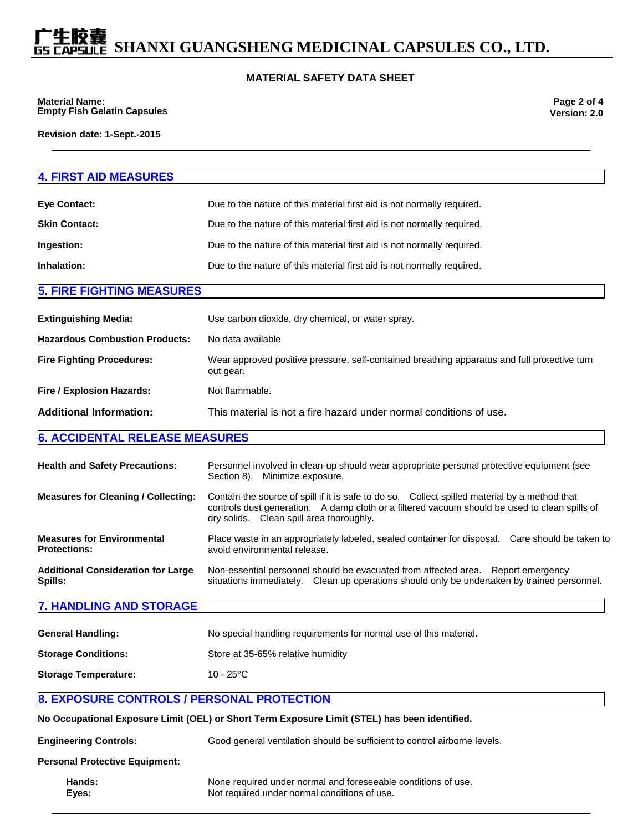# **SHANXI GUANGSHENG MEDICINAL CAPSULES CO., LTD.**

#### **MATERIAL SAFETY DATA SHEET**

**Material Name: Empty Fish Gelatin Capsules**

**Revision date: 1-Sept.-2015**

### **4. FIRST AID MEASURES Eye Contact: Example 20** Due to the nature of this material first aid is not normally required. **Skin Contact: Due to the nature of this material first aid is not normally required. Ingestion:** Due to the nature of this material first aid is not normally required. **Inhalation:** Due to the nature of this material first aid is not normally required. **5. FIRE FIGHTING MEASURES Extinguishing Media:** Use carbon dioxide, dry chemical, or water spray. **Hazardous Combustion Products:** No data available **Fire Fighting Procedures:** Wear approved positive pressure, self-contained breathing apparatus and full protective turn out gear. **Fire / Explosion Hazards:** Not flammable. **Additional Information:** This material is not a fire hazard under normal conditions of use. **6. ACCIDENTAL RELEASE MEASURES Health and Safety Precautions:** Personnel involved in clean-up should wear appropriate personal protective equipment (see Section 8). Minimize exposure. **Measures for Cleaning / Collecting:** Contain the source of spill if it is safe to do so. Collect spilled material by a method that controls dust generation. A damp cloth or a filtered vacuum should be used to clean spills of dry solids. Clean spill area thoroughly. **Measures for Environmental Protections:** Place waste in an appropriately labeled, sealed container for disposal. Care should be taken to avoid environmental release.

#### **Additional Consideration for Large Spills:** Non-essential personnel should be evacuated from affected area. Report emergency situations immediately. Clean up operations should only be undertaken by trained personnel.

#### **7. HANDLING AND STORAGE**

| <b>General Handling:</b>    | No special handling requirements for normal use of this material. |
|-----------------------------|-------------------------------------------------------------------|
| <b>Storage Conditions:</b>  | Store at 35-65% relative humidity                                 |
| <b>Storage Temperature:</b> | 10 - 25 $^{\circ}$ C                                              |

#### **8. EXPOSURE CONTROLS / PERSONAL PROTECTION**

|                                       | No Occupational Exposure Limit (OEL) or Short Term Exposure Limit (STEL) has been identified. |
|---------------------------------------|-----------------------------------------------------------------------------------------------|
| <b>Engineering Controls:</b>          | Good general ventilation should be sufficient to control airborne levels.                     |
| <b>Personal Protective Equipment:</b> |                                                                                               |
| Hands:                                | None required under normal and foreseeable conditions of use.                                 |

**Eyes:** Not required under normal conditions of use.

**Page 2 of 4 Version: 2.0**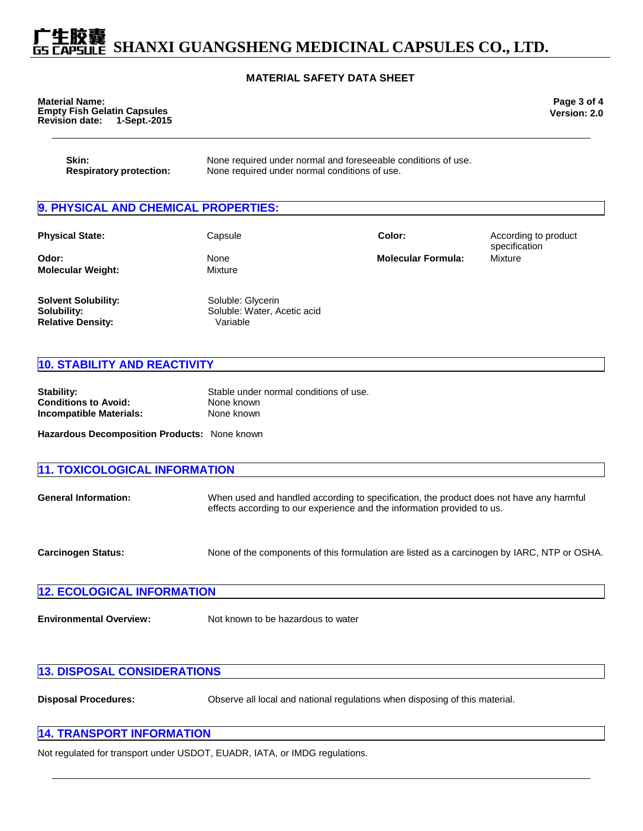# **SHANXI GUANGSHENG MEDICINAL CAPSULES CO., LTD.**

#### **MATERIAL SAFETY DATA SHEET**

| <b>Material Name:</b>              |              |
|------------------------------------|--------------|
| <b>Empty Fish Gelatin Capsules</b> |              |
| <b>Revision date:</b>              | 1-Sept.-2015 |

**Page 3 of 4 Version: 2.0**

| Skin:                          | None required under normal and foreseeable conditions of use. |
|--------------------------------|---------------------------------------------------------------|
| <b>Respiratory protection:</b> | None required under normal conditions of use.                 |

### **9. PHYSICAL AND CHEMICAL PROPERTIES:**

| <b>Physical State:</b>                                                | Capsule                                                      | Color:                    | According to product<br>specification |
|-----------------------------------------------------------------------|--------------------------------------------------------------|---------------------------|---------------------------------------|
| Odor:<br><b>Molecular Weight:</b>                                     | None<br>Mixture                                              | <b>Molecular Formula:</b> | Mixture                               |
| <b>Solvent Solubility:</b><br>Solubility:<br><b>Relative Density:</b> | Soluble: Glycerin<br>Soluble: Water, Acetic acid<br>Variable |                           |                                       |

#### **10. STABILITY AND REACTIVITY**

| Stability:                  | Stable under normal conditions of use. |
|-----------------------------|----------------------------------------|
| <b>Conditions to Avoid:</b> | None known                             |
| Incompatible Materials:     | None known                             |

**Hazardous Decomposition Products:** None known

| <b>11. TOXICOLOGICAL INFORMATION</b> |                                                                                                                                                                    |  |
|--------------------------------------|--------------------------------------------------------------------------------------------------------------------------------------------------------------------|--|
| <b>General Information:</b>          | When used and handled according to specification, the product does not have any harmful<br>effects according to our experience and the information provided to us. |  |
| <b>Carcinogen Status:</b>            | None of the components of this formulation are listed as a carcinogen by IARC, NTP or OSHA.                                                                        |  |

| <b>12. ECOLOGICAL INFORMATION</b> |  |
|-----------------------------------|--|
|                                   |  |

**Environmental Overview:** Not known to be hazardous to water

| <b>13. DISPOSAL CONSIDERATIONS</b> |  |
|------------------------------------|--|
|                                    |  |

**Disposal Procedures:** Observe all local and national regulations when disposing of this material.

#### **14. TRANSPORT INFORMATION**

Not regulated for transport under USDOT, EUADR, IATA, or IMDG regulations.